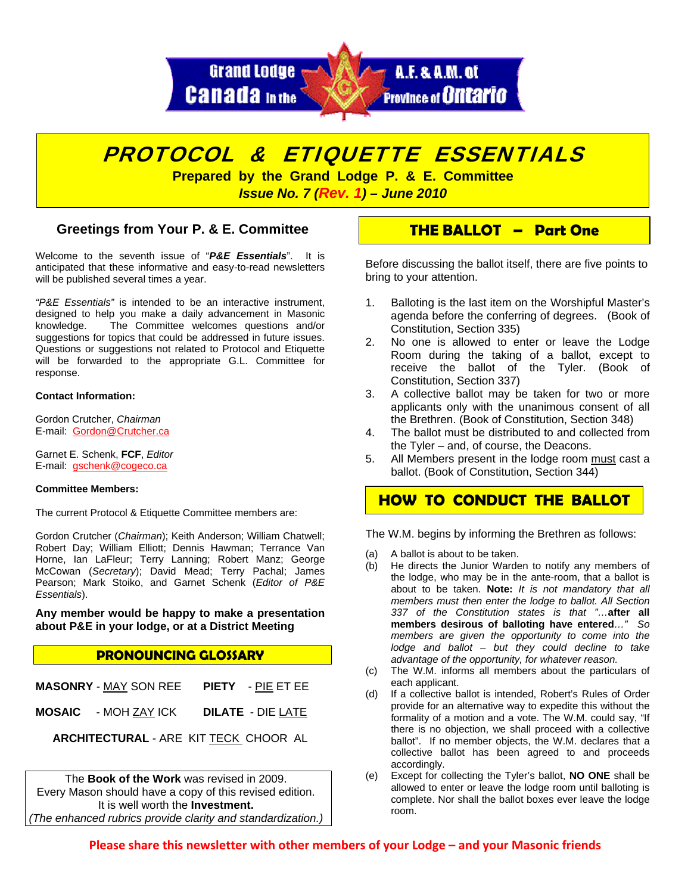



*Issue No. 7 (Rev. 1) – June 2010* 

## **Greetings from Your P. & E. Committee**

Welcome to the seventh issue of "*P&E Essentials*". It is anticipated that these informative and easy-to-read newsletters will be published several times a year.

*"P&E Essentials"* is intended to be an interactive instrument, designed to help you make a daily advancement in Masonic knowledge. The Committee welcomes questions and/or suggestions for topics that could be addressed in future issues. Questions or suggestions not related to Protocol and Etiquette will be forwarded to the appropriate G.L. Committee for response.

### **Contact Information:**

Gordon Crutcher, *Chairman* E-mail: [Gordon@Crutcher.ca](mailto:UGordon@Crutcher.ca)

Garnet E. Schenk, **FCF**, *Editor*  E-mail: [gschenk@cogeco.ca](mailto:Ugschenk@cogeco.ca)

### **Committee Members:**

The current Protocol & Etiquette Committee members are:

Gordon Crutcher (*Chairman*); Keith Anderson; William Chatwell; Robert Day; William Elliott; Dennis Hawman; Terrance Van Horne, Ian LaFleur; Terry Lanning; Robert Manz; George McCowan (*Secretary*); David Mead; Terry Pachal; James Pearson; Mark Stoiko, and Garnet Schenk (*Editor of P&E Essentials*).

**Any member would be happy to make a presentation about P&E in your lodge, or at a District Meeting**

## **PRONOUNCING GLOSSARY**

|  | <b>MASONRY - MAY SON REE PIETY - PIE ET EE</b> |
|--|------------------------------------------------|
|  | <b>MOSAIC</b> - MOH ZAY ICK DILATE - DIE LATE  |

**ARCHITECTURAL** - ARE KIT TECK CHOOR AL

The **Book of the Work** was revised in 2009. Every Mason should have a copy of this revised edition. It is well worth the **Investment.**  *(The enhanced rubrics provide clarity and standardization.)* 

## **THE BALLOT – Part One**

Before discussing the ballot itself, there are five points to bring to your attention.

- 1. Balloting is the last item on the Worshipful Master's agenda before the conferring of degrees. (Book of Constitution, Section 335)
- 2. No one is allowed to enter or leave the Lodge Room during the taking of a ballot, except to receive the ballot of the Tyler. (Book of Constitution, Section 337)
- 3. A collective ballot may be taken for two or more applicants only with the unanimous consent of all the Brethren. (Book of Constitution, Section 348)
- 4. The ballot must be distributed to and collected from the Tyler – and, of course, the Deacons.
- 5. All Members present in the lodge room must cast a ballot. (Book of Constitution, Section 344)

# **HOW TO CONDUCT THE BALLOT**

The W.M. begins by informing the Brethren as follows:

- (a) A ballot is about to be taken.
- (b) He directs the Junior Warden to notify any members of the lodge, who may be in the ante-room, that a ballot is about to be taken. **Note:** *It is not mandatory that all members must then enter the lodge to ballot. All Section 337 of the Constitution states is that "…***after all members desirous of balloting have entered***…" So members are given the opportunity to come into the lodge and ballot – but they could decline to take advantage of the opportunity, for whatever reason.*
- (c) The W.M. informs all members about the particulars of each applicant.
- (d) If a collective ballot is intended, Robert's Rules of Order provide for an alternative way to expedite this without the formality of a motion and a vote. The W.M. could say, "If there is no objection, we shall proceed with a collective ballot". If no member objects, the W.M. declares that a collective ballot has been agreed to and proceeds accordingly.
- (e) Except for collecting the Tyler's ballot, **NO ONE** shall be allowed to enter or leave the lodge room until balloting is complete. Nor shall the ballot boxes ever leave the lodge room.

**Please share this newsletter with other members of your Lodge – and your Masonic friends**